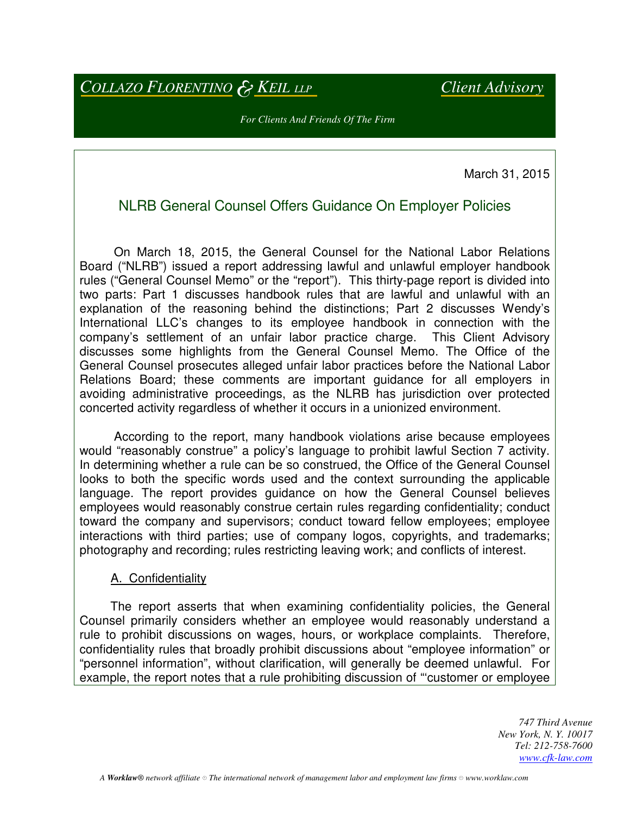*COLLAZO FLORENTINO* & *KEIL LLP Client Advisory*

*For Clients And Friends Of The Firm* 

March 31, 2015

# NLRB General Counsel Offers Guidance On Employer Policies

 On March 18, 2015, the General Counsel for the National Labor Relations Board ("NLRB") issued a report addressing lawful and unlawful employer handbook rules ("General Counsel Memo" or the "report"). This thirty-page report is divided into two parts: Part 1 discusses handbook rules that are lawful and unlawful with an explanation of the reasoning behind the distinctions; Part 2 discusses Wendy's International LLC's changes to its employee handbook in connection with the company's settlement of an unfair labor practice charge. This Client Advisory discusses some highlights from the General Counsel Memo. The Office of the General Counsel prosecutes alleged unfair labor practices before the National Labor Relations Board; these comments are important guidance for all employers in avoiding administrative proceedings, as the NLRB has jurisdiction over protected concerted activity regardless of whether it occurs in a unionized environment.

 According to the report, many handbook violations arise because employees would "reasonably construe" a policy's language to prohibit lawful Section 7 activity. In determining whether a rule can be so construed, the Office of the General Counsel looks to both the specific words used and the context surrounding the applicable language. The report provides guidance on how the General Counsel believes employees would reasonably construe certain rules regarding confidentiality; conduct toward the company and supervisors; conduct toward fellow employees; employee interactions with third parties; use of company logos, copyrights, and trademarks; photography and recording; rules restricting leaving work; and conflicts of interest.

### A. Confidentiality

 The report asserts that when examining confidentiality policies, the General Counsel primarily considers whether an employee would reasonably understand a rule to prohibit discussions on wages, hours, or workplace complaints. Therefore, confidentiality rules that broadly prohibit discussions about "employee information" or "personnel information", without clarification, will generally be deemed unlawful. For example, the report notes that a rule prohibiting discussion of "'customer or employee

> *747 Third Avenue New York, N. Y. 10017 Tel: 212-758-7600 www.cfk-law.com*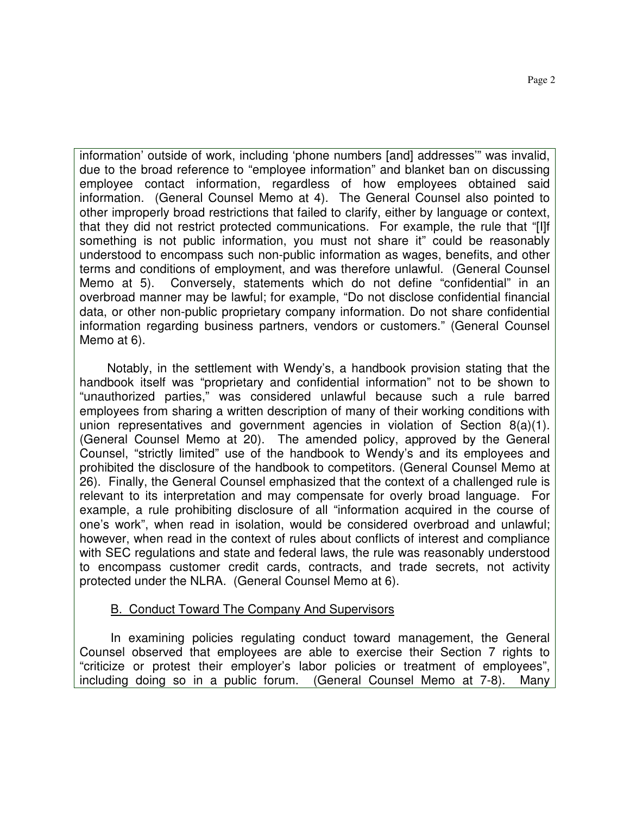information' outside of work, including 'phone numbers [and] addresses'" was invalid, due to the broad reference to "employee information" and blanket ban on discussing employee contact information, regardless of how employees obtained said information. (General Counsel Memo at 4). The General Counsel also pointed to other improperly broad restrictions that failed to clarify, either by language or context, that they did not restrict protected communications. For example, the rule that "[I]f something is not public information, you must not share it" could be reasonably understood to encompass such non-public information as wages, benefits, and other terms and conditions of employment, and was therefore unlawful. (General Counsel Memo at 5). Conversely, statements which do not define "confidential" in an overbroad manner may be lawful; for example, "Do not disclose confidential financial data, or other non-public proprietary company information. Do not share confidential information regarding business partners, vendors or customers." (General Counsel Memo at 6).

 Notably, in the settlement with Wendy's, a handbook provision stating that the handbook itself was "proprietary and confidential information" not to be shown to "unauthorized parties," was considered unlawful because such a rule barred employees from sharing a written description of many of their working conditions with union representatives and government agencies in violation of Section 8(a)(1). (General Counsel Memo at 20). The amended policy, approved by the General Counsel, "strictly limited" use of the handbook to Wendy's and its employees and prohibited the disclosure of the handbook to competitors. (General Counsel Memo at 26). Finally, the General Counsel emphasized that the context of a challenged rule is relevant to its interpretation and may compensate for overly broad language. For example, a rule prohibiting disclosure of all "information acquired in the course of one's work", when read in isolation, would be considered overbroad and unlawful; however, when read in the context of rules about conflicts of interest and compliance with SEC regulations and state and federal laws, the rule was reasonably understood to encompass customer credit cards, contracts, and trade secrets, not activity protected under the NLRA. (General Counsel Memo at 6).

### B. Conduct Toward The Company And Supervisors

 In examining policies regulating conduct toward management, the General Counsel observed that employees are able to exercise their Section 7 rights to "criticize or protest their employer's labor policies or treatment of employees", including doing so in a public forum. (General Counsel Memo at 7-8). Many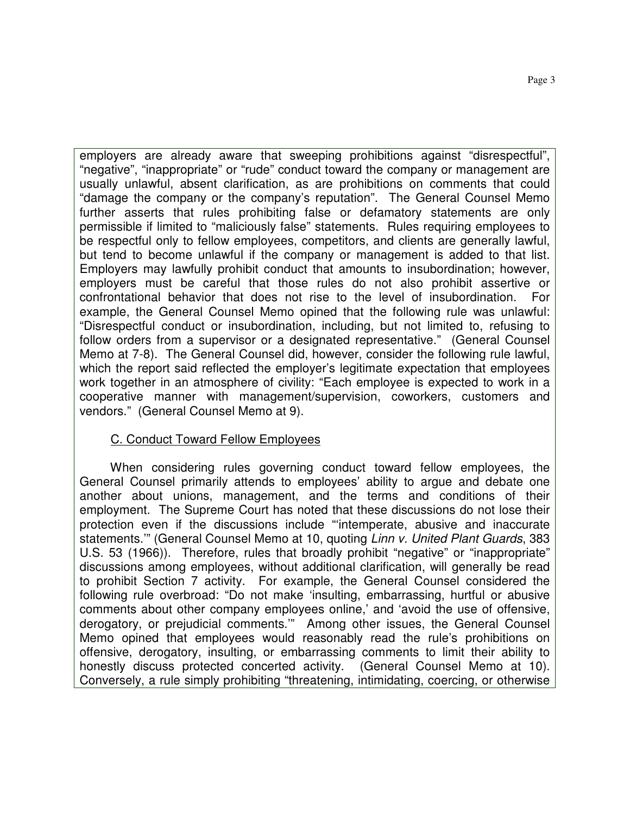employers are already aware that sweeping prohibitions against "disrespectful", "negative", "inappropriate" or "rude" conduct toward the company or management are usually unlawful, absent clarification, as are prohibitions on comments that could "damage the company or the company's reputation". The General Counsel Memo further asserts that rules prohibiting false or defamatory statements are only permissible if limited to "maliciously false" statements. Rules requiring employees to be respectful only to fellow employees, competitors, and clients are generally lawful, but tend to become unlawful if the company or management is added to that list. Employers may lawfully prohibit conduct that amounts to insubordination; however, employers must be careful that those rules do not also prohibit assertive or confrontational behavior that does not rise to the level of insubordination. For example, the General Counsel Memo opined that the following rule was unlawful: "Disrespectful conduct or insubordination, including, but not limited to, refusing to follow orders from a supervisor or a designated representative." (General Counsel Memo at 7-8). The General Counsel did, however, consider the following rule lawful, which the report said reflected the employer's legitimate expectation that employees work together in an atmosphere of civility: "Each employee is expected to work in a cooperative manner with management/supervision, coworkers, customers and vendors." (General Counsel Memo at 9).

### C. Conduct Toward Fellow Employees

 When considering rules governing conduct toward fellow employees, the General Counsel primarily attends to employees' ability to argue and debate one another about unions, management, and the terms and conditions of their employment. The Supreme Court has noted that these discussions do not lose their protection even if the discussions include "'intemperate, abusive and inaccurate statements." (General Counsel Memo at 10, quoting Linn v. United Plant Guards, 383 U.S. 53 (1966)). Therefore, rules that broadly prohibit "negative" or "inappropriate" discussions among employees, without additional clarification, will generally be read to prohibit Section 7 activity. For example, the General Counsel considered the following rule overbroad: "Do not make 'insulting, embarrassing, hurtful or abusive comments about other company employees online,' and 'avoid the use of offensive, derogatory, or prejudicial comments.'" Among other issues, the General Counsel Memo opined that employees would reasonably read the rule's prohibitions on offensive, derogatory, insulting, or embarrassing comments to limit their ability to honestly discuss protected concerted activity. (General Counsel Memo at 10). Conversely, a rule simply prohibiting "threatening, intimidating, coercing, or otherwise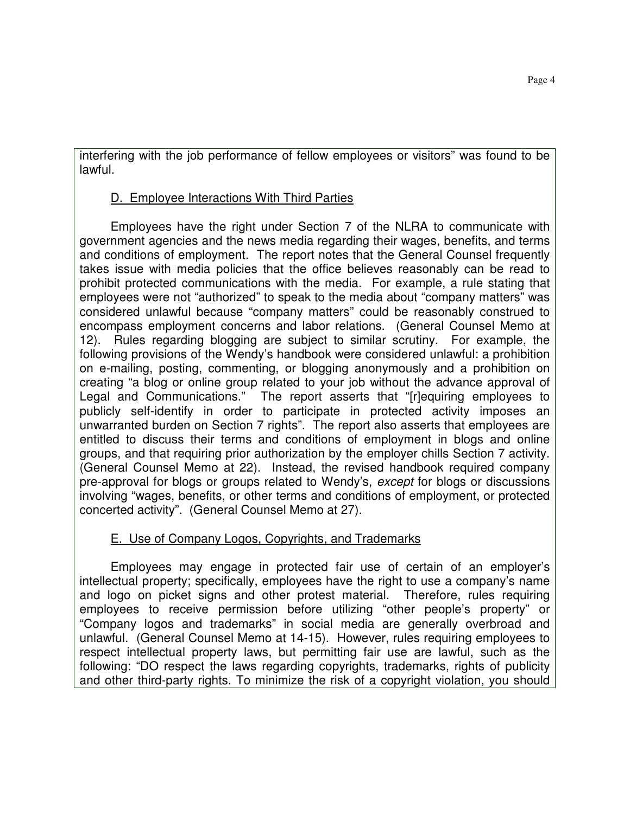interfering with the job performance of fellow employees or visitors" was found to be lawful.

## D. Employee Interactions With Third Parties

 Employees have the right under Section 7 of the NLRA to communicate with government agencies and the news media regarding their wages, benefits, and terms and conditions of employment. The report notes that the General Counsel frequently takes issue with media policies that the office believes reasonably can be read to prohibit protected communications with the media. For example, a rule stating that employees were not "authorized" to speak to the media about "company matters" was considered unlawful because "company matters" could be reasonably construed to encompass employment concerns and labor relations. (General Counsel Memo at 12). Rules regarding blogging are subject to similar scrutiny. For example, the following provisions of the Wendy's handbook were considered unlawful: a prohibition on e-mailing, posting, commenting, or blogging anonymously and a prohibition on creating "a blog or online group related to your job without the advance approval of Legal and Communications." The report asserts that "[r]equiring employees to publicly self-identify in order to participate in protected activity imposes an unwarranted burden on Section 7 rights". The report also asserts that employees are entitled to discuss their terms and conditions of employment in blogs and online groups, and that requiring prior authorization by the employer chills Section 7 activity. (General Counsel Memo at 22). Instead, the revised handbook required company pre-approval for blogs or groups related to Wendy's, except for blogs or discussions involving "wages, benefits, or other terms and conditions of employment, or protected concerted activity". (General Counsel Memo at 27).

# E. Use of Company Logos, Copyrights, and Trademarks

 Employees may engage in protected fair use of certain of an employer's intellectual property; specifically, employees have the right to use a company's name and logo on picket signs and other protest material. Therefore, rules requiring employees to receive permission before utilizing "other people's property" or "Company logos and trademarks" in social media are generally overbroad and unlawful. (General Counsel Memo at 14-15). However, rules requiring employees to respect intellectual property laws, but permitting fair use are lawful, such as the following: "DO respect the laws regarding copyrights, trademarks, rights of publicity and other third-party rights. To minimize the risk of a copyright violation, you should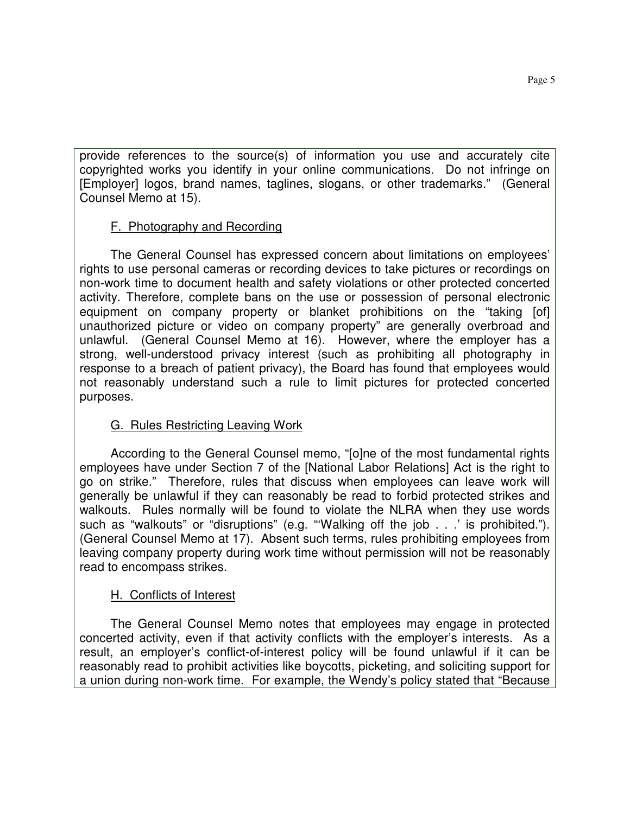provide references to the source(s) of information you use and accurately cite copyrighted works you identify in your online communications. Do not infringe on [Employer] logos, brand names, taglines, slogans, or other trademarks." (General Counsel Memo at 15).

## F. Photography and Recording

 The General Counsel has expressed concern about limitations on employees' rights to use personal cameras or recording devices to take pictures or recordings on non-work time to document health and safety violations or other protected concerted activity. Therefore, complete bans on the use or possession of personal electronic equipment on company property or blanket prohibitions on the "taking [of] unauthorized picture or video on company property" are generally overbroad and unlawful. (General Counsel Memo at 16). However, where the employer has a strong, well-understood privacy interest (such as prohibiting all photography in response to a breach of patient privacy), the Board has found that employees would not reasonably understand such a rule to limit pictures for protected concerted purposes.

## G. Rules Restricting Leaving Work

 According to the General Counsel memo, "[o]ne of the most fundamental rights employees have under Section 7 of the [National Labor Relations] Act is the right to go on strike." Therefore, rules that discuss when employees can leave work will generally be unlawful if they can reasonably be read to forbid protected strikes and walkouts. Rules normally will be found to violate the NLRA when they use words such as "walkouts" or "disruptions" (e.g. "'Walking off the job . . .' is prohibited."). (General Counsel Memo at 17). Absent such terms, rules prohibiting employees from leaving company property during work time without permission will not be reasonably read to encompass strikes.

### H. Conflicts of Interest

 The General Counsel Memo notes that employees may engage in protected concerted activity, even if that activity conflicts with the employer's interests. As a result, an employer's conflict-of-interest policy will be found unlawful if it can be reasonably read to prohibit activities like boycotts, picketing, and soliciting support for a union during non-work time. For example, the Wendy's policy stated that "Because